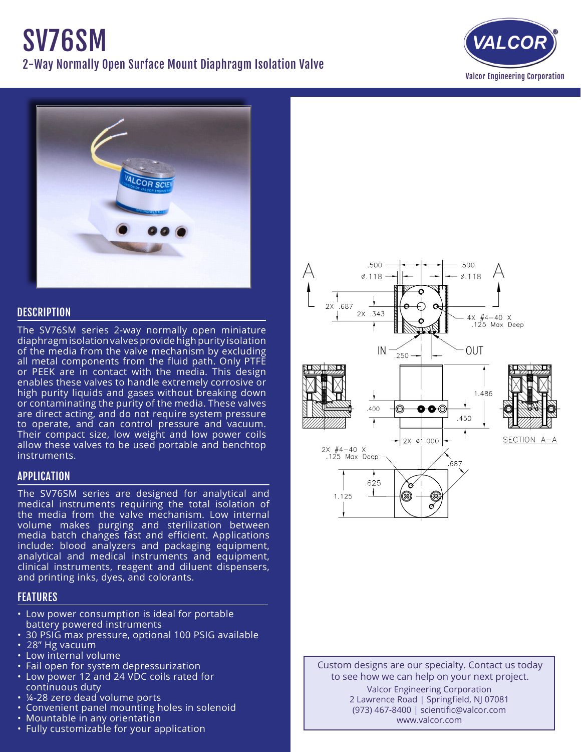# SV76SM 2-Way Normally Open Surface Mount Diaphragm Isolation Valve





## **DESCRIPTION**

The SV76SM series 2-way normally open miniature diaphragm isolation valves provide high purity isolation of the media from the valve mechanism by excluding all metal components from the fluid path. Only PTFE or PEEK are in contact with the media. This design enables these valves to handle extremely corrosive or high purity liquids and gases without breaking down or contaminating the purity of the media. These valves are direct acting, and do not require system pressure to operate, and can control pressure and vacuum. Their compact size, low weight and low power coils allow these valves to be used portable and benchtop instruments.

#### APPLICATION

The SV76SM series are designed for analytical and medical instruments requiring the total isolation of the media from the valve mechanism. Low internal volume makes purging and sterilization between media batch changes fast and efficient. Applications include: blood analyzers and packaging equipment, analytical and medical instruments and equipment, clinical instruments, reagent and diluent dispensers, and printing inks, dyes, and colorants.

## FEATURES

- • Low power consumption is ideal for portable battery powered instruments
- 30 PSIG max pressure, optional 100 PSIG available
- 28" Hg vacuum
- • Low internal volume
- Fail open for system depressurization
- • Low power 12 and 24 VDC coils rated for continuous duty
- ¼-28 zero dead volume ports
- Convenient panel mounting holes in solenoid
- Mountable in any orientation
- Fully customizable for your application









Custom designs are our specialty. Contact us today to see how we can help on your next project. Valcor Engineering Corporation 2 Lawrence Road | Springfield, NJ 07081 (973) 467-8400 | scientific@valcor.com www.valcor.com